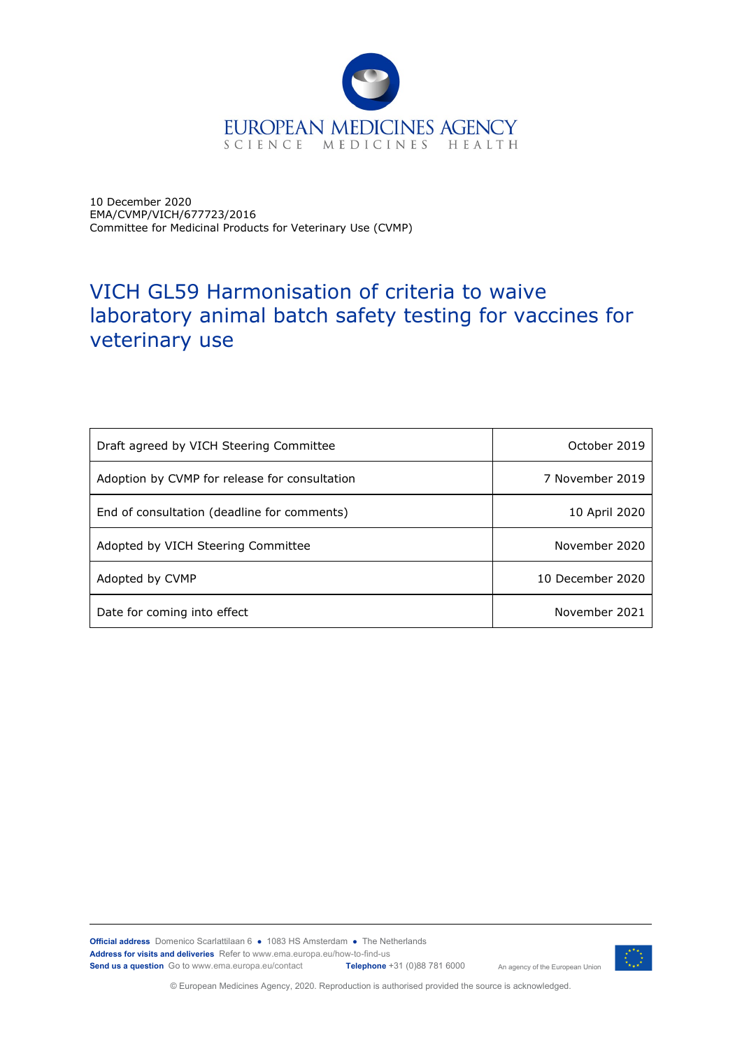

10 December 2020 EMA/CVMP/VICH/677723/2016 Committee for Medicinal Products for Veterinary Use (CVMP)

# VICH GL59 Harmonisation of criteria to waive laboratory animal batch safety testing for vaccines for veterinary use

| Draft agreed by VICH Steering Committee       | October 2019     |
|-----------------------------------------------|------------------|
| Adoption by CVMP for release for consultation | 7 November 2019  |
| End of consultation (deadline for comments)   | 10 April 2020    |
| Adopted by VICH Steering Committee            | November 2020    |
| Adopted by CVMP                               | 10 December 2020 |
| Date for coming into effect                   | November 2021    |

**Official address** Domenico Scarlattilaan 6 **●** 1083 HS Amsterdam **●** The Netherlands An agency of the European Union **Address for visits and deliveries** Refer to www.ema.europa.eu/how-to-find-us<br>**Send us a question** Go to www.ema.europa.eu/contact **Telephone** +31 (0)88 781 6000 **Send us a question** Go to www.ema.europa.eu/contact



© European Medicines Agency, 2020. Reproduction is authorised provided the source is acknowledged.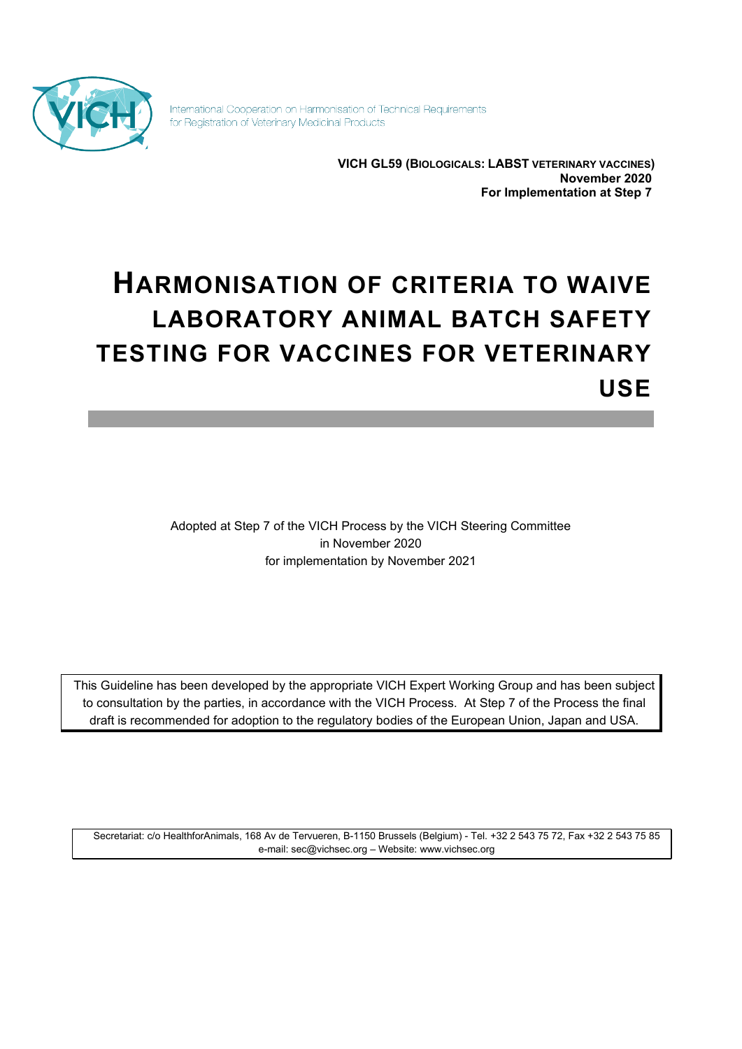

International Cooperation on Harmonisation of Technical Requirements for Registration of Veterinary Medicinal Products

> **VICH GL59 (BIOLOGICALS: LABST VETERINARY VACCINES) November 2020 For Implementation at Step 7**

# **HARMONISATION OF CRITERIA TO WAIVE LABORATORY ANIMAL BATCH SAFETY TESTING FOR VACCINES FOR VETERINARY USE**

Adopted at Step 7 of the VICH Process by the VICH Steering Committee in November 2020 for implementation by November 2021

This Guideline has been developed by the appropriate VICH Expert Working Group and has been subject to consultation by the parties, in accordance with the VICH Process. At Step 7 of the Process the final draft is recommended for adoption to the regulatory bodies of the European Union, Japan and USA.

Secretariat: c/o HealthforAnimals, 168 Av de Tervueren, B-1150 Brussels (Belgium) - Tel. +32 2 543 75 72, Fax +32 2 543 75 85 e-mail: [sec@vichsec.org](mailto:sec@vichsec.org) – Website: [www.vichsec.org](http://www.vichsec.org/)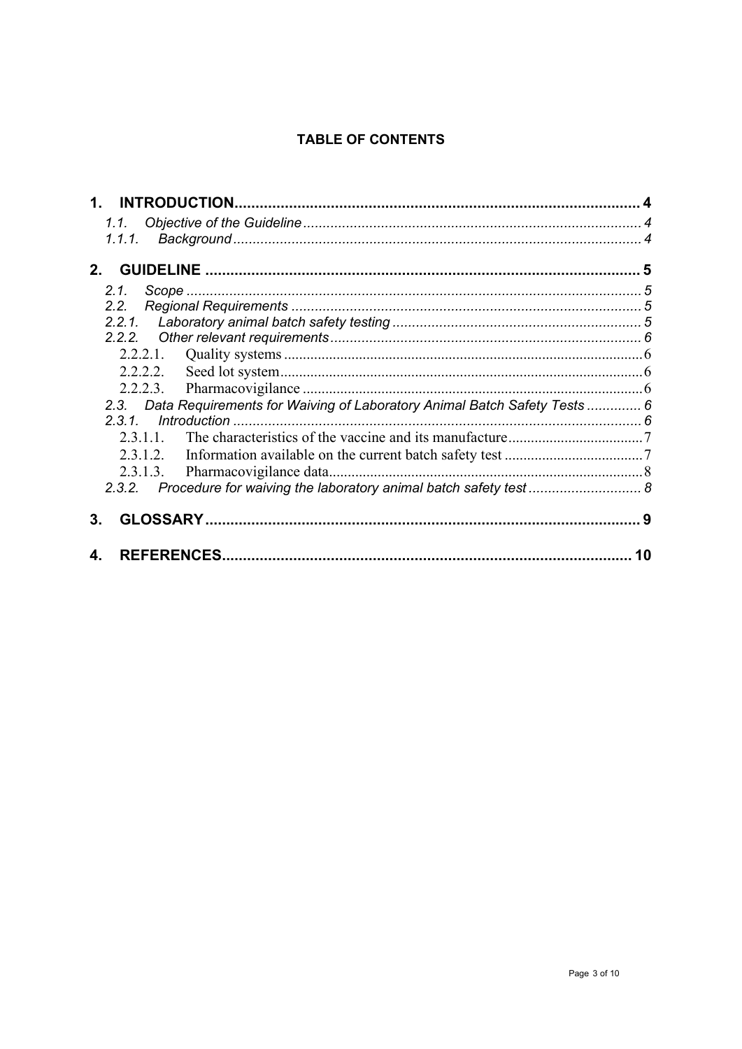# **TABLE OF CONTENTS**

| $\mathbf 1$ . |                                                                               |
|---------------|-------------------------------------------------------------------------------|
|               |                                                                               |
| 1.1.1.        |                                                                               |
|               |                                                                               |
|               |                                                                               |
| 2.1.          |                                                                               |
| 2.2.          |                                                                               |
|               |                                                                               |
|               |                                                                               |
|               |                                                                               |
|               |                                                                               |
|               |                                                                               |
|               | 2.3. Data Requirements for Waiving of Laboratory Animal Batch Safety Tests  6 |
| 2.3.1         |                                                                               |
| 2.3.1.1.      |                                                                               |
|               |                                                                               |
|               |                                                                               |
|               | 2.3.2. Procedure for waiving the laboratory animal batch safety test  8       |
| З.            |                                                                               |
| 4.            | 10                                                                            |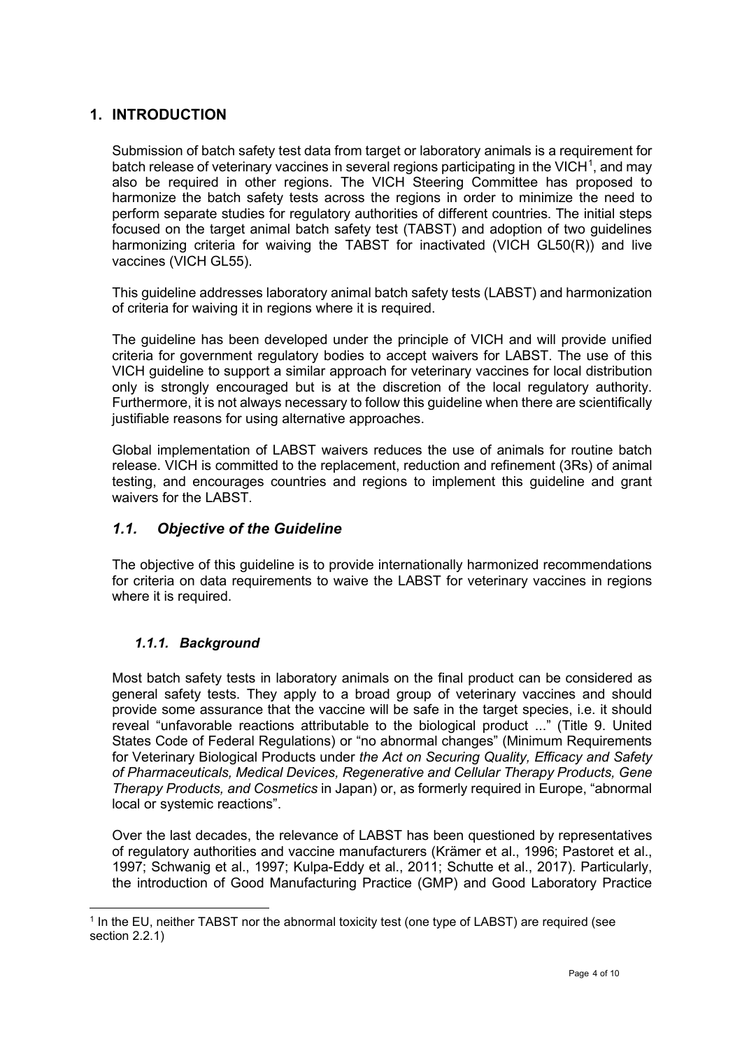## <span id="page-3-0"></span>**1. INTRODUCTION**

Submission of batch safety test data from target or laboratory animals is a requirement for batch release of veterinary vaccines in several regions participating in the VICH<sup>[1](#page-3-3)</sup>, and may also be required in other regions. The VICH Steering Committee has proposed to harmonize the batch safety tests across the regions in order to minimize the need to perform separate studies for regulatory authorities of different countries. The initial steps focused on the target animal batch safety test (TABST) and adoption of two guidelines harmonizing criteria for waiving the TABST for inactivated (VICH GL50(R)) and live vaccines (VICH GL55).

This guideline addresses laboratory animal batch safety tests (LABST) and harmonization of criteria for waiving it in regions where it is required.

The guideline has been developed under the principle of VICH and will provide unified criteria for government regulatory bodies to accept waivers for LABST. The use of this VICH guideline to support a similar approach for veterinary vaccines for local distribution only is strongly encouraged but is at the discretion of the local regulatory authority. Furthermore, it is not always necessary to follow this guideline when there are scientifically justifiable reasons for using alternative approaches.

Global implementation of LABST waivers reduces the use of animals for routine batch release. VICH is committed to the replacement, reduction and refinement (3Rs) of animal testing, and encourages countries and regions to implement this guideline and grant waivers for the LABST.

#### <span id="page-3-1"></span>*1.1. Objective of the Guideline*

The objective of this guideline is to provide internationally harmonized recommendations for criteria on data requirements to waive the LABST for veterinary vaccines in regions where it is required.

#### <span id="page-3-2"></span>*1.1.1. Background*

Most batch safety tests in laboratory animals on the final product can be considered as general safety tests. They apply to a broad group of veterinary vaccines and should provide some assurance that the vaccine will be safe in the target species, i.e. it should reveal "unfavorable reactions attributable to the biological product ..." (Title 9. United States Code of Federal Regulations) or "no abnormal changes" (Minimum Requirements for Veterinary Biological Products under *the Act on Securing Quality, Efficacy and Safety of Pharmaceuticals, Medical Devices, Regenerative and Cellular Therapy Products, Gene Therapy Products, and Cosmetics* in Japan) or, as formerly required in Europe, "abnormal local or systemic reactions".

Over the last decades, the relevance of LABST has been questioned by representatives of regulatory authorities and vaccine manufacturers (Krämer et al., 1996; Pastoret et al., 1997; Schwanig et al., 1997; Kulpa-Eddy et al., 2011; Schutte et al., 2017). Particularly, the introduction of Good Manufacturing Practice (GMP) and Good Laboratory Practice

<span id="page-3-3"></span><sup>1</sup> In the EU, neither TABST nor the abnormal toxicity test (one type of LABST) are required (see section 2.2.1)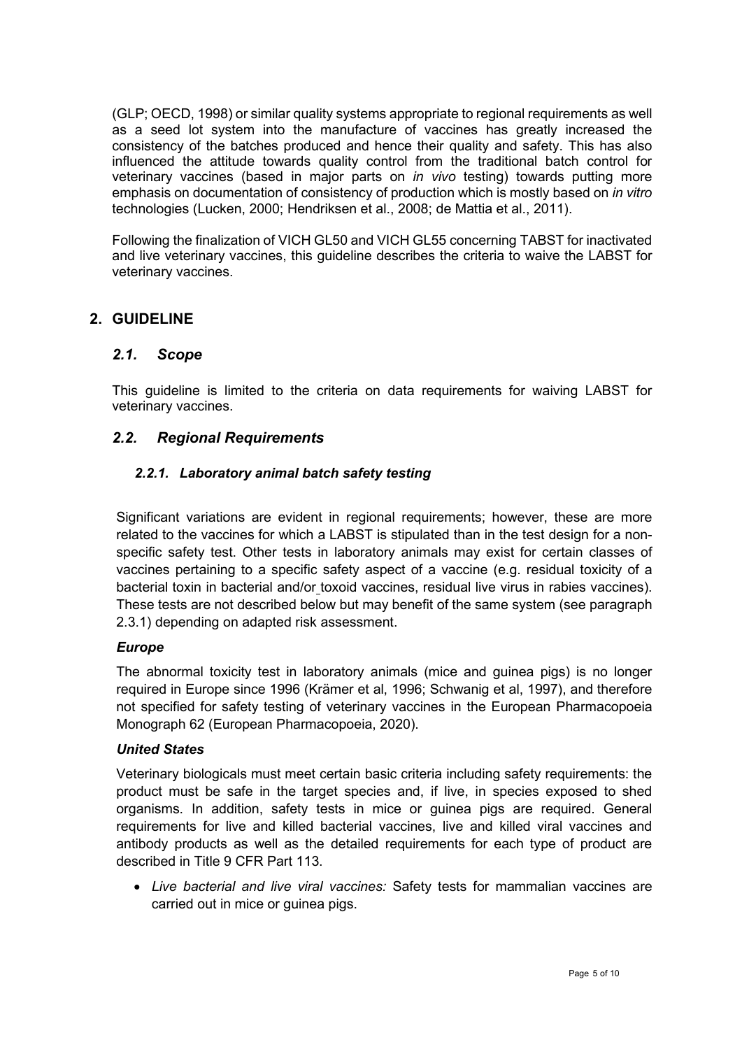(GLP; OECD, 1998) or similar quality systems appropriate to regional requirements as well as a seed lot system into the manufacture of vaccines has greatly increased the consistency of the batches produced and hence their quality and safety. This has also influenced the attitude towards quality control from the traditional batch control for veterinary vaccines (based in major parts on *in vivo* testing) towards putting more emphasis on documentation of consistency of production which is mostly based on *in vitro* technologies (Lucken, 2000; Hendriksen et al., 2008; de Mattia et al., 2011).

Following the finalization of VICH GL50 and VICH GL55 concerning TABST for inactivated and live veterinary vaccines, this guideline describes the criteria to waive the LABST for veterinary vaccines.

### <span id="page-4-1"></span><span id="page-4-0"></span>**2. GUIDELINE**

#### *2.1. Scope*

This guideline is limited to the criteria on data requirements for waiving LABST for veterinary vaccines.

#### <span id="page-4-3"></span><span id="page-4-2"></span>*2.2. Regional Requirements*

#### *2.2.1. Laboratory animal batch safety testing*

Significant variations are evident in regional requirements; however, these are more related to the vaccines for which a LABST is stipulated than in the test design for a nonspecific safety test. Other tests in laboratory animals may exist for certain classes of vaccines pertaining to a specific safety aspect of a vaccine (e.g. residual toxicity of a bacterial toxin in bacterial and/or toxoid vaccines, residual live virus in rabies vaccines). These tests are not described below but may benefit of the same system (see paragraph 2.3.1) depending on adapted risk assessment.

#### *Europe*

The abnormal toxicity test in laboratory animals (mice and guinea pigs) is no longer required in Europe since 1996 (Krämer et al, 1996; Schwanig et al, 1997), and therefore not specified for safety testing of veterinary vaccines in the European Pharmacopoeia Monograph 62 (European Pharmacopoeia, 2020).

#### *United States*

Veterinary biologicals must meet certain basic criteria including safety requirements: the product must be safe in the target species and, if live, in species exposed to shed organisms. In addition, safety tests in mice or guinea pigs are required. General requirements for live and killed bacterial vaccines, live and killed viral vaccines and antibody products as well as the detailed requirements for each type of product are described in Title 9 CFR Part 113.

• *Live bacterial and live viral vaccines:* Safety tests for mammalian vaccines are carried out in mice or guinea pigs.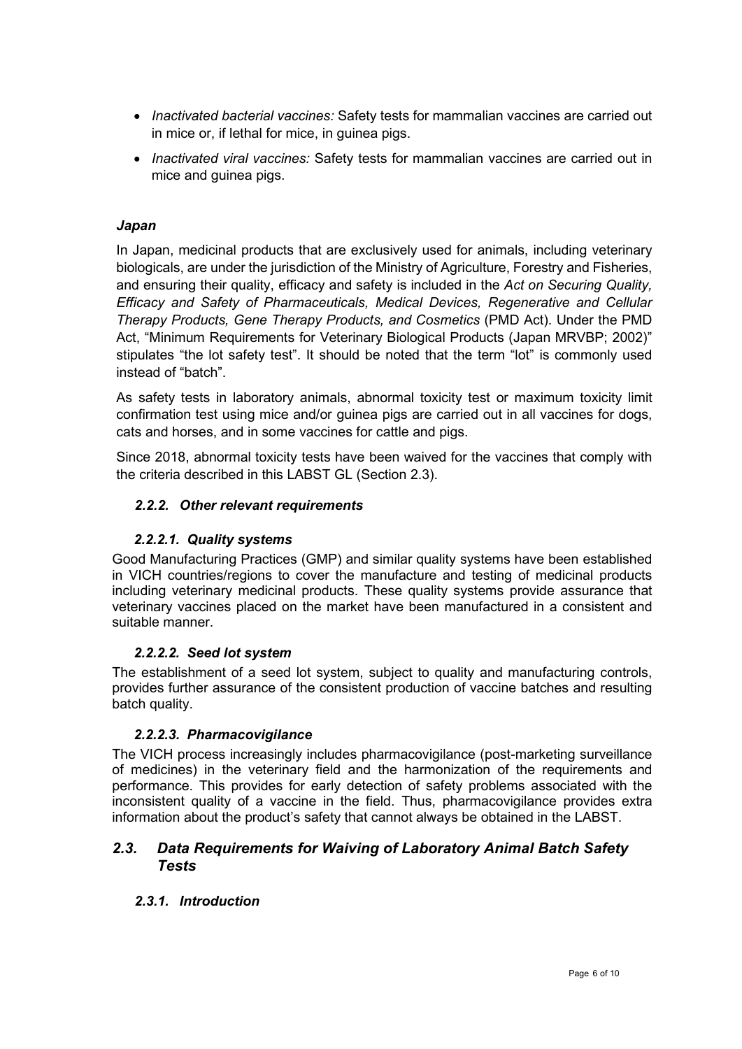- *Inactivated bacterial vaccines:* Safety tests for mammalian vaccines are carried out in mice or, if lethal for mice, in guinea pigs.
- *Inactivated viral vaccines:* Safety tests for mammalian vaccines are carried out in mice and guinea pigs.

#### *Japan*

In Japan, medicinal products that are exclusively used for animals, including veterinary biologicals, are under the jurisdiction of the Ministry of Agriculture, Forestry and Fisheries, and ensuring their quality, efficacy and safety is included in the *Act on Securing Quality, Efficacy and Safety of Pharmaceuticals, Medical Devices, Regenerative and Cellular Therapy Products, Gene Therapy Products, and Cosmetics* (PMD Act). Under the PMD Act, "Minimum Requirements for Veterinary Biological Products (Japan MRVBP; 2002)" stipulates "the lot safety test". It should be noted that the term "lot" is commonly used instead of "batch".

As safety tests in laboratory animals, abnormal toxicity test or maximum toxicity limit confirmation test using mice and/or guinea pigs are carried out in all vaccines for dogs, cats and horses, and in some vaccines for cattle and pigs.

<span id="page-5-0"></span>Since 2018, abnormal toxicity tests have been waived for the vaccines that comply with the criteria described in this LABST GL (Section 2.3).

#### *2.2.2. Other relevant requirements*

#### *2.2.2.1. Quality systems*

<span id="page-5-1"></span>Good Manufacturing Practices (GMP) and similar quality systems have been established in VICH countries/regions to cover the manufacture and testing of medicinal products including veterinary medicinal products. These quality systems provide assurance that veterinary vaccines placed on the market have been manufactured in a consistent and suitable manner.

#### *2.2.2.2. Seed lot system*

<span id="page-5-2"></span>The establishment of a seed lot system, subject to quality and manufacturing controls, provides further assurance of the consistent production of vaccine batches and resulting batch quality.

#### *2.2.2.3. Pharmacovigilance*

<span id="page-5-3"></span>The VICH process increasingly includes pharmacovigilance (post-marketing surveillance of medicines) in the veterinary field and the harmonization of the requirements and performance. This provides for early detection of safety problems associated with the inconsistent quality of a vaccine in the field. Thus, pharmacovigilance provides extra information about the product's safety that cannot always be obtained in the LABST.

#### <span id="page-5-5"></span><span id="page-5-4"></span>*2.3. Data Requirements for Waiving of Laboratory Animal Batch Safety Tests*

#### *2.3.1. Introduction*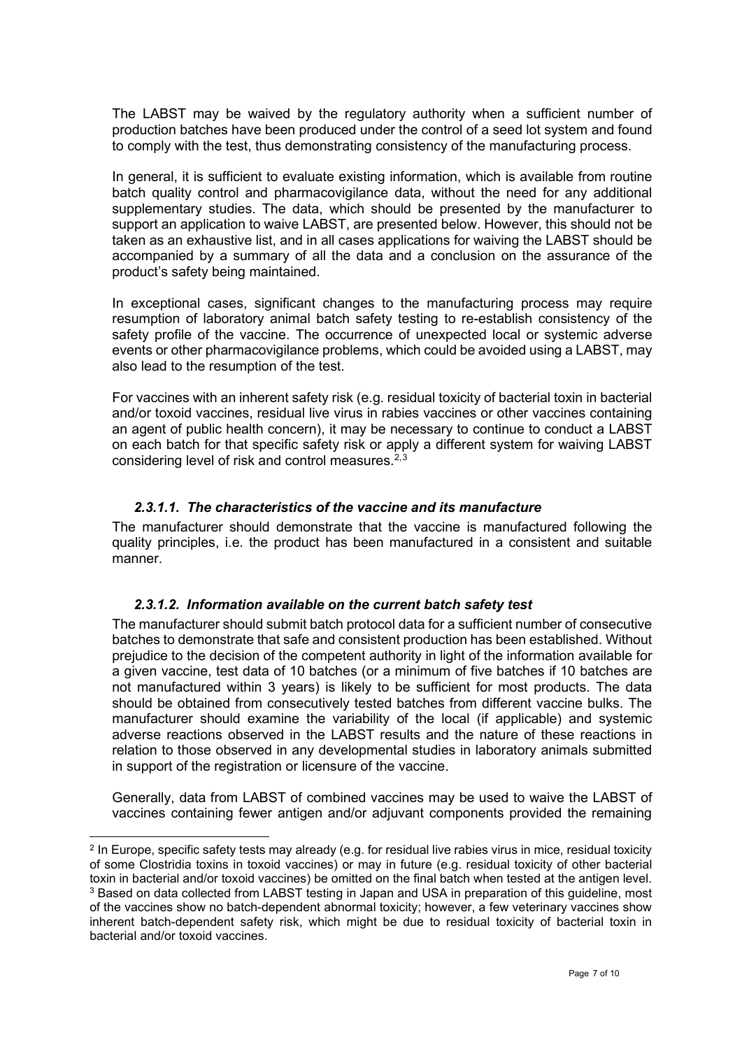The LABST may be waived by the regulatory authority when a sufficient number of production batches have been produced under the control of a seed lot system and found to comply with the test, thus demonstrating consistency of the manufacturing process.

In general, it is sufficient to evaluate existing information, which is available from routine batch quality control and pharmacovigilance data, without the need for any additional supplementary studies. The data, which should be presented by the manufacturer to support an application to waive LABST, are presented below. However, this should not be taken as an exhaustive list, and in all cases applications for waiving the LABST should be accompanied by a summary of all the data and a conclusion on the assurance of the product's safety being maintained.

In exceptional cases, significant changes to the manufacturing process may require resumption of laboratory animal batch safety testing to re-establish consistency of the safety profile of the vaccine. The occurrence of unexpected local or systemic adverse events or other pharmacovigilance problems, which could be avoided using a LABST, may also lead to the resumption of the test.

For vaccines with an inherent safety risk (e.g. residual toxicity of bacterial toxin in bacterial and/or toxoid vaccines, residual live virus in rabies vaccines or other vaccines containing an agent of public health concern), it may be necessary to continue to conduct a LABST on each batch for that specific safety risk or apply a different system for waiving LABST considering level of risk and control measures.<sup>[2,](#page-6-2)[3](#page-6-3)</sup>

#### *2.3.1.1. The characteristics of the vaccine and its manufacture*

<span id="page-6-0"></span>The manufacturer should demonstrate that the vaccine is manufactured following the quality principles, i.e. the product has been manufactured in a consistent and suitable manner.

#### *2.3.1.2. Information available on the current batch safety test*

<span id="page-6-1"></span>The manufacturer should submit batch protocol data for a sufficient number of consecutive batches to demonstrate that safe and consistent production has been established. Without prejudice to the decision of the competent authority in light of the information available for a given vaccine, test data of 10 batches (or a minimum of five batches if 10 batches are not manufactured within 3 years) is likely to be sufficient for most products. The data should be obtained from consecutively tested batches from different vaccine bulks. The manufacturer should examine the variability of the local (if applicable) and systemic adverse reactions observed in the LABST results and the nature of these reactions in relation to those observed in any developmental studies in laboratory animals submitted in support of the registration or licensure of the vaccine.

Generally, data from LABST of combined vaccines may be used to waive the LABST of vaccines containing fewer antigen and/or adjuvant components provided the remaining

<span id="page-6-3"></span><span id="page-6-2"></span><sup>2</sup> In Europe, specific safety tests may already (e.g. for residual live rabies virus in mice, residual toxicity of some Clostridia toxins in toxoid vaccines) or may in future (e.g. residual toxicity of other bacterial toxin in bacterial and/or toxoid vaccines) be omitted on the final batch when tested at the antigen level. <sup>3</sup> Based on data collected from LABST testing in Japan and USA in preparation of this guideline, most of the vaccines show no batch-dependent abnormal toxicity; however, a few veterinary vaccines show inherent batch-dependent safety risk, which might be due to residual toxicity of bacterial toxin in bacterial and/or toxoid vaccines.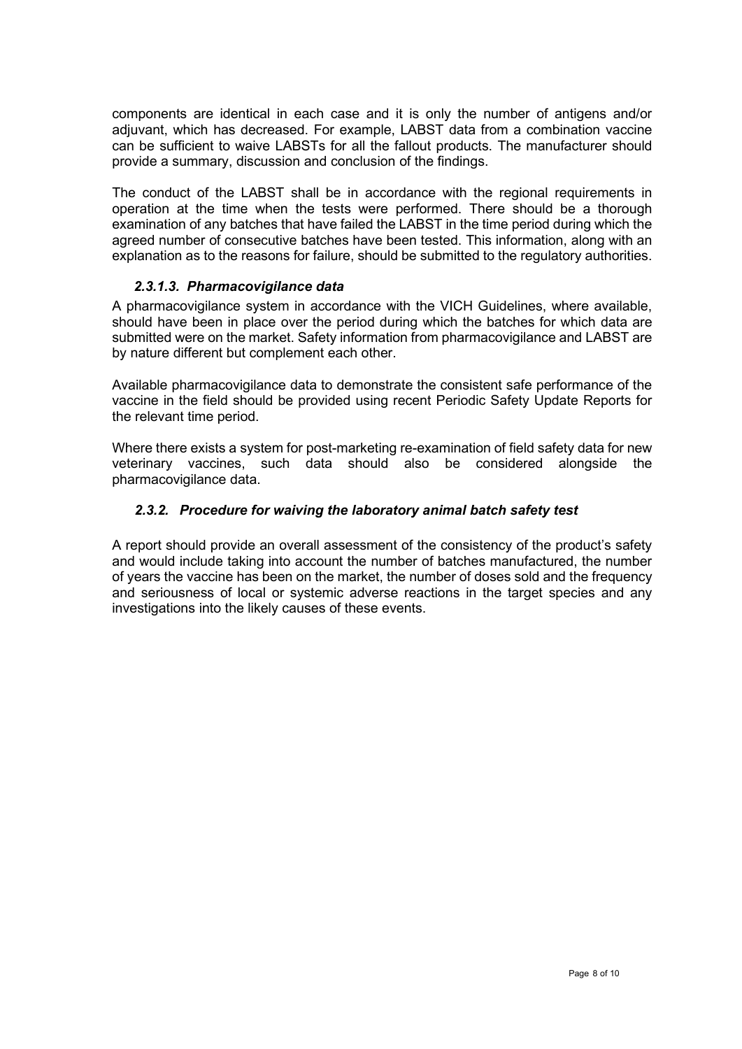components are identical in each case and it is only the number of antigens and/or adjuvant, which has decreased. For example, LABST data from a combination vaccine can be sufficient to waive LABSTs for all the fallout products. The manufacturer should provide a summary, discussion and conclusion of the findings.

The conduct of the LABST shall be in accordance with the regional requirements in operation at the time when the tests were performed. There should be a thorough examination of any batches that have failed the LABST in the time period during which the agreed number of consecutive batches have been tested. This information, along with an explanation as to the reasons for failure, should be submitted to the regulatory authorities.

#### *2.3.1.3. Pharmacovigilance data*

<span id="page-7-0"></span>A pharmacovigilance system in accordance with the VICH Guidelines, where available, should have been in place over the period during which the batches for which data are submitted were on the market. Safety information from pharmacovigilance and LABST are by nature different but complement each other.

Available pharmacovigilance data to demonstrate the consistent safe performance of the vaccine in the field should be provided using recent Periodic Safety Update Reports for the relevant time period.

Where there exists a system for post-marketing re-examination of field safety data for new veterinary vaccines, such data should also be considered alongside the pharmacovigilance data.

#### <span id="page-7-1"></span>*2.3.2. Procedure for waiving the laboratory animal batch safety test*

A report should provide an overall assessment of the consistency of the product's safety and would include taking into account the number of batches manufactured, the number of years the vaccine has been on the market, the number of doses sold and the frequency and seriousness of local or systemic adverse reactions in the target species and any investigations into the likely causes of these events.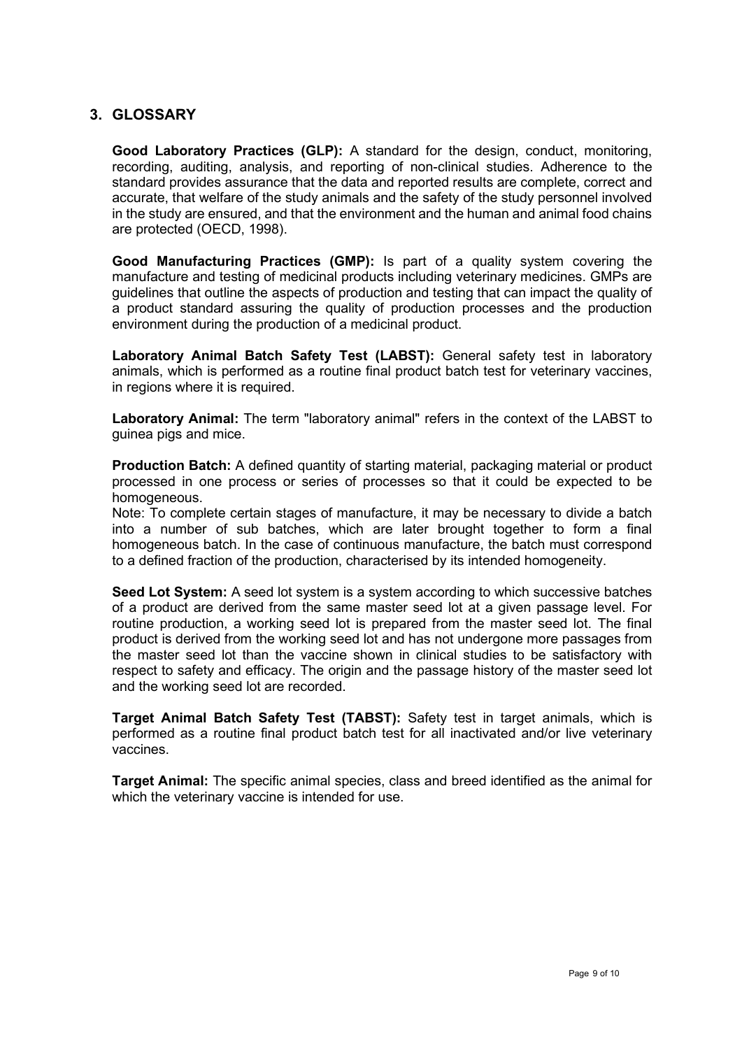#### <span id="page-8-0"></span>**3. GLOSSARY**

**Good Laboratory Practices (GLP):** A standard for the design, conduct, monitoring, recording, auditing, analysis, and reporting of non-clinical studies. Adherence to the standard provides assurance that the data and reported results are complete, correct and accurate, that welfare of the study animals and the safety of the study personnel involved in the study are ensured, and that the environment and the human and animal food chains are protected (OECD, 1998).

**Good Manufacturing Practices (GMP):** Is part of a quality system covering the manufacture and testing of medicinal products including veterinary medicines. GMPs are guidelines that outline the aspects of production and testing that can impact the quality of a product standard assuring the quality of production processes and the production environment during the production of a medicinal product.

**Laboratory Animal Batch Safety Test (LABST):** General safety test in laboratory animals, which is performed as a routine final product batch test for veterinary vaccines, in regions where it is required.

**Laboratory Animal:** The term "laboratory animal" refers in the context of the LABST to guinea pigs and mice.

**Production Batch:** A defined quantity of starting material, packaging material or product processed in one process or series of processes so that it could be expected to be homogeneous.

Note: To complete certain stages of manufacture, it may be necessary to divide a batch into a number of sub batches, which are later brought together to form a final homogeneous batch. In the case of continuous manufacture, the batch must correspond to a defined fraction of the production, characterised by its intended homogeneity.

**Seed Lot System:** A seed lot system is a system according to which successive batches of a product are derived from the same master seed lot at a given passage level. For routine production, a working seed lot is prepared from the master seed lot. The final product is derived from the working seed lot and has not undergone more passages from the master seed lot than the vaccine shown in clinical studies to be satisfactory with respect to safety and efficacy. The origin and the passage history of the master seed lot and the working seed lot are recorded.

**Target Animal Batch Safety Test (TABST):** Safety test in target animals, which is performed as a routine final product batch test for all inactivated and/or live veterinary vaccines.

**Target Animal:** The specific animal species, class and breed identified as the animal for which the veterinary vaccine is intended for use.